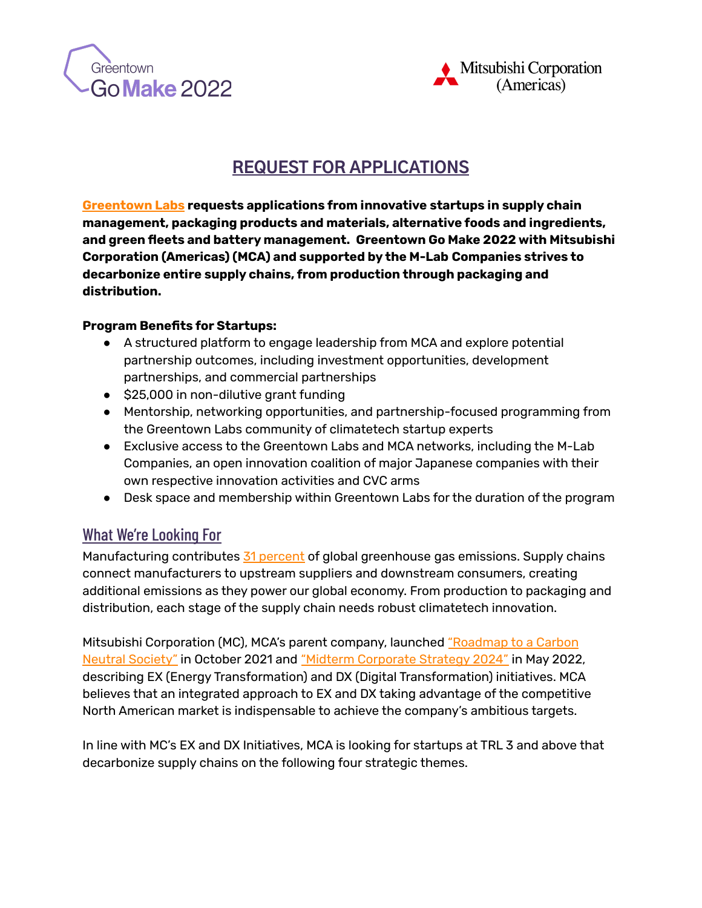



# **REQUEST FOR APPLICATIONS**

**[Greentown](https://www.greentownlabs.com/) Labs requests applications from innovative startups in supply chain management, packaging products and materials, alternative foods and ingredients, and green fleets and battery management. Greentown Go Make 2022 with Mitsubishi Corporation (Americas) (MCA) and supported by the M-Lab Companies strives to decarbonize entire supply chains, from production through packaging and distribution.**

#### **Program Benefits for Startups:**

- A structured platform to engage leadership from MCA and explore potential partnership outcomes, including investment opportunities, development partnerships, and commercial partnerships
- \$25,000 in non-dilutive grant funding
- Mentorship, networking opportunities, and partnership-focused programming from the Greentown Labs community of climatetech startup experts
- Exclusive access to the Greentown Labs and MCA networks, including the M-Lab Companies, an open innovation coalition of major Japanese companies with their own respective innovation activities and CVC arms
- Desk space and membership within Greentown Labs for the duration of the program

# What We're Looking For

Manufacturing contributes 31 [percent](https://www.breakthroughenergy.org/our-challenge/the-grand-challenges) of global greenhouse gas emissions. Supply chains connect manufacturers to upstream suppliers and downstream consumers, creating additional emissions as they power our global economy. From production to packaging and distribution, each stage of the supply chain needs robust climatetech innovation.

Mitsubishi Corporation (MC), MCA's parent company, launched ["Roadmap](https://www.mitsubishicorp.com/jp/en/carbon-neutral/) to a Carbon Neutral [Society"](https://www.mitsubishicorp.com/jp/en/carbon-neutral/) in October 2021 and "Midterm [Corporate](https://www.mitsubishicorp.com/jp/en/pr/archive/2022/html/0000049095.html) Strategy 2024" in May 2022, describing EX (Energy Transformation) and DX (Digital Transformation) initiatives. MCA believes that an integrated approach to EX and DX taking advantage of the competitive North American market is indispensable to achieve the company's ambitious targets.

In line with MC's EX and DX Initiatives, MCA is looking for startups at TRL 3 and above that decarbonize supply chains on the following four strategic themes.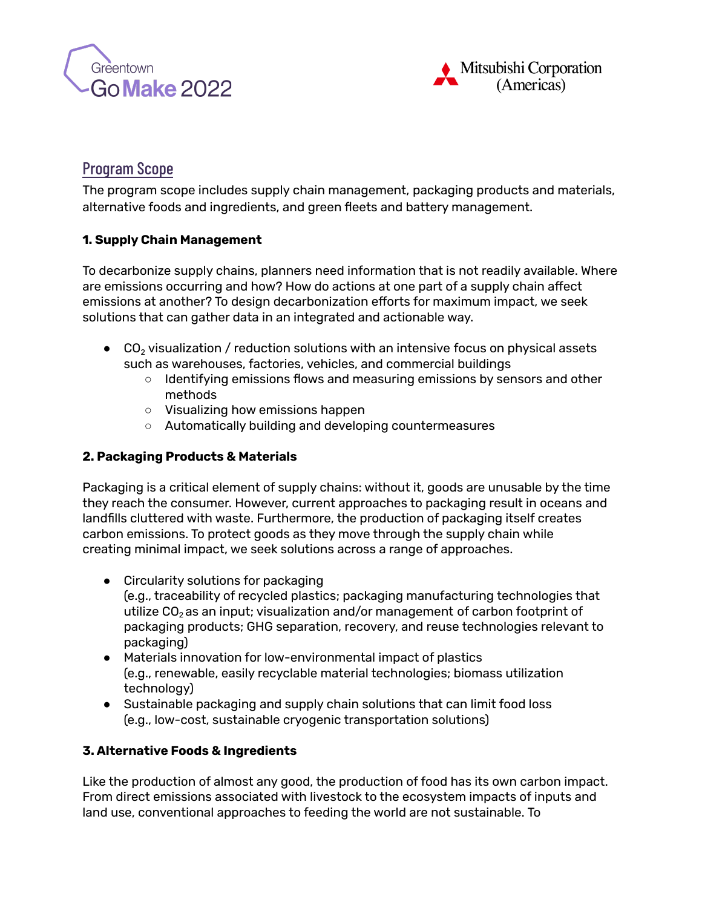



# Program Scope

The program scope includes supply chain management, packaging products and materials, alternative foods and ingredients, and green fleets and battery management.

### **1. Supply Chain Management**

To decarbonize supply chains, planners need information that is not readily available. Where are emissions occurring and how? How do actions at one part of a supply chain affect emissions at another? To design decarbonization efforts for maximum impact, we seek solutions that can gather data in an integrated and actionable way.

- $\bullet$  CO<sub>2</sub> visualization / reduction solutions with an intensive focus on physical assets such as warehouses, factories, vehicles, and commercial buildings
	- Identifying emissions flows and measuring emissions by sensors and other methods
	- Visualizing how emissions happen
	- Automatically building and developing countermeasures

#### **2. Packaging Products & Materials**

Packaging is a critical element of supply chains: without it, goods are unusable by the time they reach the consumer. However, current approaches to packaging result in oceans and landfills cluttered with waste. Furthermore, the production of packaging itself creates carbon emissions. To protect goods as they move through the supply chain while creating minimal impact, we seek solutions across a range of approaches.

- Circularity solutions for packaging (e.g., traceability of recycled plastics; packaging manufacturing technologies that utilize  $CO<sub>2</sub>$  as an input; visualization and/or management of carbon footprint of packaging products; GHG separation, recovery, and reuse technologies relevant to packaging)
- Materials innovation for low-environmental impact of plastics (e.g., renewable, easily recyclable material technologies; biomass utilization technology)
- Sustainable packaging and supply chain solutions that can limit food loss (e.g., low-cost, sustainable cryogenic transportation solutions)

### **3. Alternative Foods & Ingredients**

Like the production of almost any good, the production of food has its own carbon impact. From direct emissions associated with livestock to the ecosystem impacts of inputs and land use, conventional approaches to feeding the world are not sustainable. To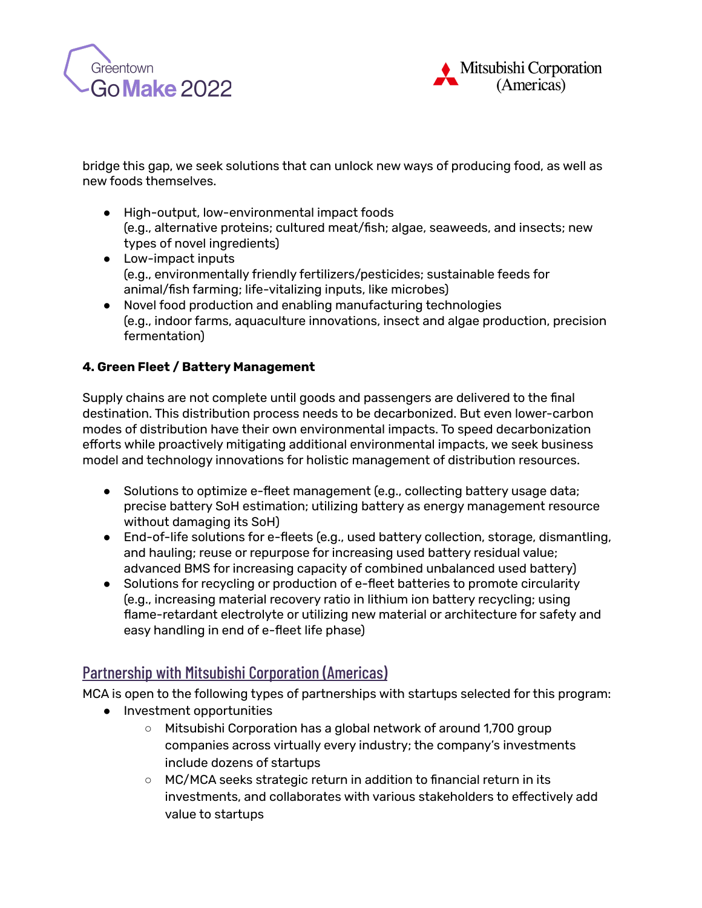



bridge this gap, we seek solutions that can unlock new ways of producing food, as well as new foods themselves.

- High-output, low-environmental impact foods (e.g., alternative proteins; cultured meat/fish; algae, seaweeds, and insects; new types of novel ingredients)
- Low-impact inputs (e.g., environmentally friendly fertilizers/pesticides; sustainable feeds for animal/fish farming; life-vitalizing inputs, like microbes)
- Novel food production and enabling manufacturing technologies (e.g., indoor farms, aquaculture innovations, insect and algae production, precision fermentation)

### **4. Green Fleet / Battery Management**

Supply chains are not complete until goods and passengers are delivered to the final destination. This distribution process needs to be decarbonized. But even lower-carbon modes of distribution have their own environmental impacts. To speed decarbonization efforts while proactively mitigating additional environmental impacts, we seek business model and technology innovations for holistic management of distribution resources.

- Solutions to optimize e-fleet management (e.g., collecting battery usage data; precise battery SoH estimation; utilizing battery as energy management resource without damaging its SoH)
- End-of-life solutions for e-fleets (e.g., used battery collection, storage, dismantling, and hauling; reuse or repurpose for increasing used battery residual value; advanced BMS for increasing capacity of combined unbalanced used battery)
- Solutions for recycling or production of e-fleet batteries to promote circularity (e.g., increasing material recovery ratio in lithium ion battery recycling; using flame-retardant electrolyte or utilizing new material or architecture for safety and easy handling in end of e-fleet life phase)

# Partnership with Mitsubishi Corporation (Americas)

MCA is open to the following types of partnerships with startups selected for this program:

- Investment opportunities
	- Mitsubishi Corporation has a global network of around 1,700 group companies across virtually every industry; the company's investments include dozens of startups
	- MC/MCA seeks strategic return in addition to financial return in its investments, and collaborates with various stakeholders to effectively add value to startups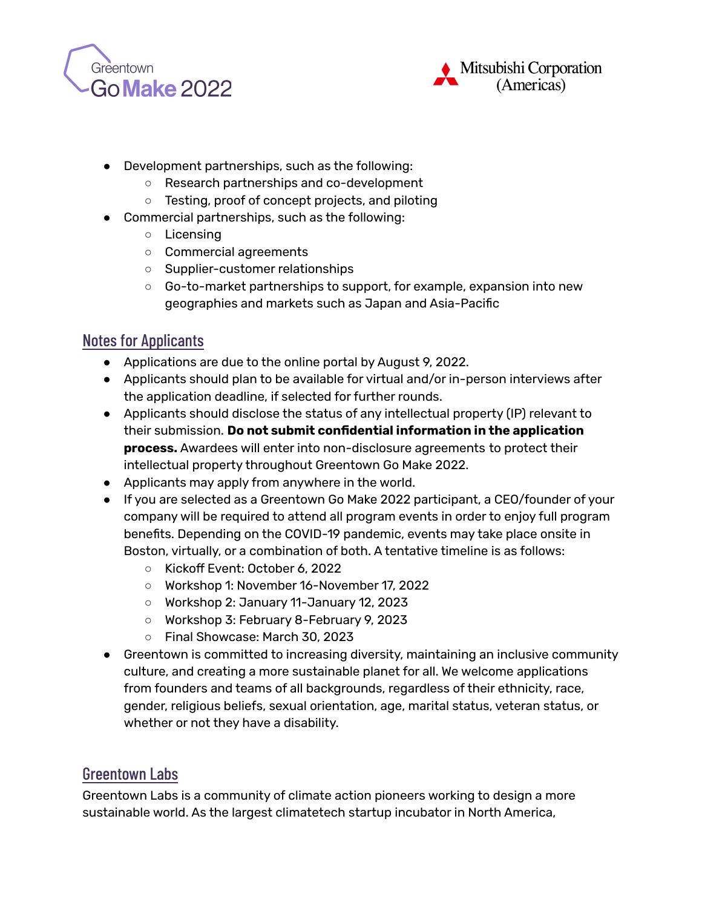



- Development partnerships, such as the following:
	- Research partnerships and co-development
	- Testing, proof of concept projects, and piloting
- Commercial partnerships, such as the following:
	- Licensing
	- Commercial agreements
	- Supplier-customer relationships
	- Go-to-market partnerships to support, for example, expansion into new geographies and markets such as Japan and Asia-Pacific

### Notes for Applicants

- Applications are due to the online portal by August 9, 2022.
- Applicants should plan to be available for virtual and/or in-person interviews after the application deadline, if selected for further rounds.
- Applicants should disclose the status of any intellectual property (IP) relevant to their submission. **Do not submit confidential information in the application process.** Awardees will enter into non-disclosure agreements to protect their intellectual property throughout Greentown Go Make 2022.
- Applicants may apply from anywhere in the world.
- If you are selected as a Greentown Go Make 2022 participant, a CEO/founder of your company will be required to attend all program events in order to enjoy full program benefits. Depending on the COVID-19 pandemic, events may take place onsite in Boston, virtually, or a combination of both. A tentative timeline is as follows:
	- Kickoff Event: October 6, 2022
	- Workshop 1: November 16-November 17, 2022
	- Workshop 2: January 11-January 12, 2023
	- Workshop 3: February 8-February 9, 2023
	- Final Showcase: March 30, 2023
- Greentown is committed to increasing diversity, maintaining an inclusive community culture, and creating a more sustainable planet for all. We welcome applications from founders and teams of all backgrounds, regardless of their ethnicity, race, gender, religious beliefs, sexual orientation, age, marital status, veteran status, or whether or not they have a disability.

### Greentown Labs

Greentown Labs is a community of climate action pioneers working to design a more sustainable world. As the largest climatetech startup incubator in North America,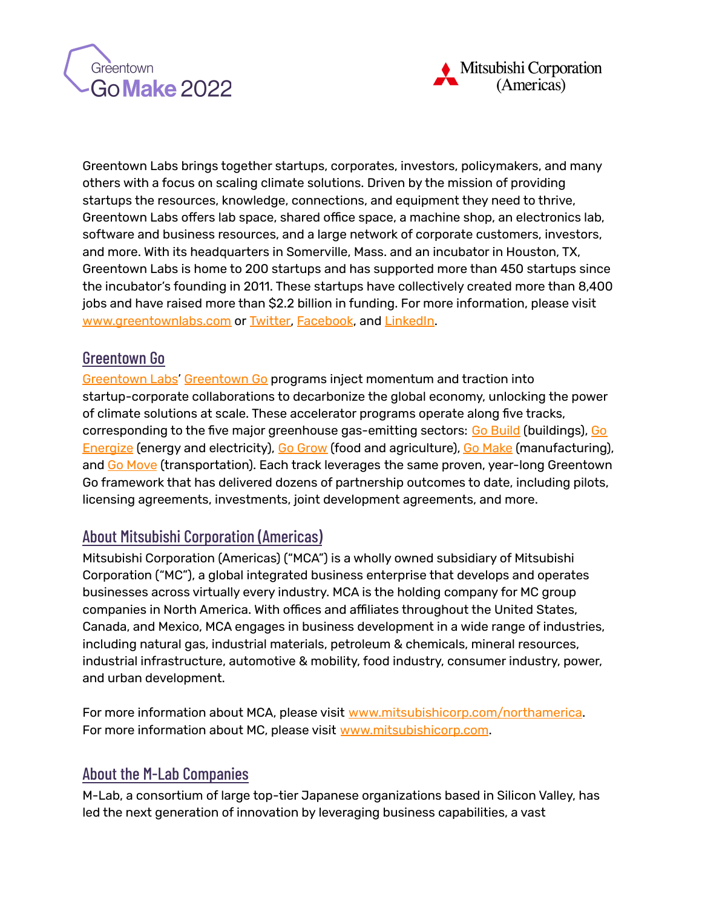



Greentown Labs brings together startups, corporates, investors, policymakers, and many others with a focus on scaling climate solutions. Driven by the mission of providing startups the resources, knowledge, connections, and equipment they need to thrive, Greentown Labs offers lab space, shared office space, a machine shop, an electronics lab, software and business resources, and a large network of corporate customers, investors, and more. With its headquarters in Somerville, Mass. and an incubator in Houston, TX, Greentown Labs is home to 200 startups and has supported more than 450 startups since the incubator's founding in 2011. These startups have collectively created more than 8,400 jobs and have raised more than \$2.2 billion in funding. For more information, please visit [www.greentownlabs.com](http://www.greentownlabs.com) or [Twitter,](https://twitter.com/GreentownLabs) [Facebook](https://www.facebook.com/GreentownLabs), and [LinkedIn](https://www.linkedin.com/company/greentown-labs).

## Greentown Go

[Greentown](https://greentownlabs.com/) Labs' [Greentown](https://greentownlabs.com/greentown-go/) Go programs inject momentum and traction into startup-corporate collaborations to decarbonize the global economy, unlocking the power of climate solutions at scale. These accelerator programs operate along five tracks, corresponding to the five major greenhouse gas-emitting sectors: Go [Build](https://greentownlabs.com/go-build) (buildings), [Go](https://greentownlabs.com/go-energize) [Energize](https://greentownlabs.com/go-energize) (energy and electricity), Go [Grow](https://greentownlabs.com/go-grow) (food and agriculture), Go [Make](https://greentownlabs.com/go-make) (manufacturing), and Go [Move](https://greentownlabs.com/go-move) (transportation). Each track leverages the same proven, year-long Greentown Go framework that has delivered dozens of partnership outcomes to date, including pilots, licensing agreements, investments, joint development agreements, and more.

# About Mitsubishi Corporation (Americas)

Mitsubishi Corporation (Americas) ("MCA") is a wholly owned subsidiary of Mitsubishi Corporation ("MC"), a global integrated business enterprise that develops and operates businesses across virtually every industry. MCA is the holding company for MC group companies in North America. With offices and affiliates throughout the United States, Canada, and Mexico, MCA engages in business development in a wide range of industries, including natural gas, industrial materials, petroleum & chemicals, mineral resources, industrial infrastructure, automotive & mobility, food industry, consumer industry, power, and urban development.

For more information about MCA, please visit [www.mitsubishicorp.com/northamerica.](http://www.mitsubishicorp.com/northamerica) For more information about MC, please visit [www.mitsubishicorp.com](http://www.mitsubishicorp.com).

# About the M-Lab Companies

M-Lab, a consortium of large top-tier Japanese organizations based in Silicon Valley, has led the next generation of innovation by leveraging business capabilities, a vast